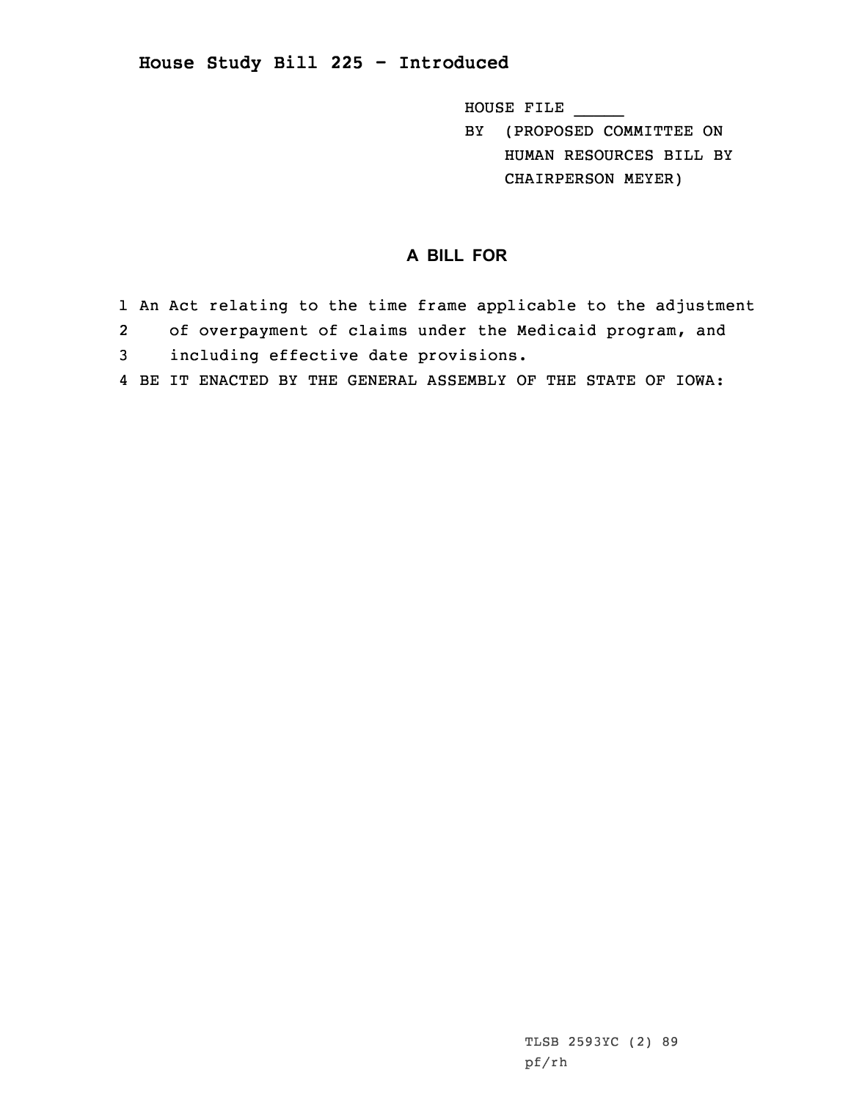## **House Study Bill 225 - Introduced**

HOUSE FILE \_\_\_\_\_

BY (PROPOSED COMMITTEE ON HUMAN RESOURCES BILL BY CHAIRPERSON MEYER)

## **A BILL FOR**

- 1 An Act relating to the time frame applicable to the adjustment 2 of overpayment of claims under the Medicaid program, and 3 including effective date provisions.
- 4 BE IT ENACTED BY THE GENERAL ASSEMBLY OF THE STATE OF IOWA: